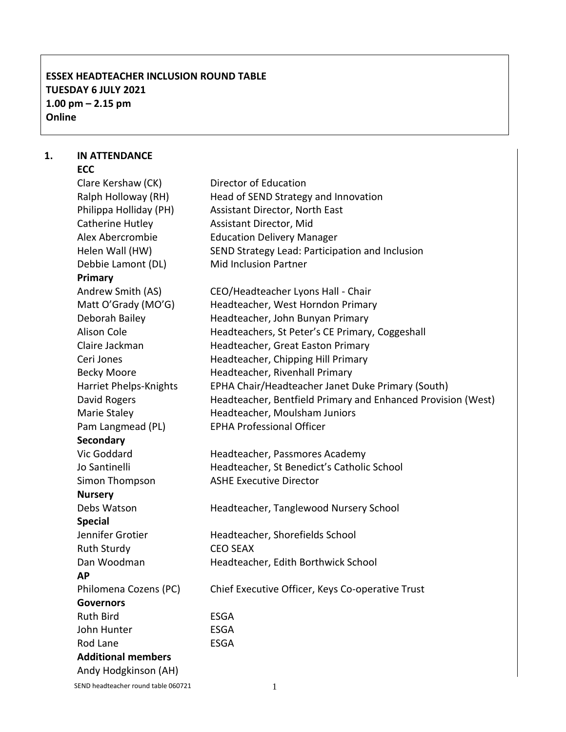# **ESSEX HEADTEACHER INCLUSION ROUND TABLE TUESDAY 6 JULY 2021 1.00 pm – 2.15 pm Online**

#### **1. IN ATTENDANCE ECC**

| Clare Kershaw (CK)        | Director of Education                                        |
|---------------------------|--------------------------------------------------------------|
| Ralph Holloway (RH)       | Head of SEND Strategy and Innovation                         |
| Philippa Holliday (PH)    | Assistant Director, North East                               |
| Catherine Hutley          | Assistant Director, Mid                                      |
| Alex Abercrombie          | <b>Education Delivery Manager</b>                            |
| Helen Wall (HW)           | SEND Strategy Lead: Participation and Inclusion              |
| Debbie Lamont (DL)        | <b>Mid Inclusion Partner</b>                                 |
| Primary                   |                                                              |
| Andrew Smith (AS)         | CEO/Headteacher Lyons Hall - Chair                           |
| Matt O'Grady (MO'G)       | Headteacher, West Horndon Primary                            |
| Deborah Bailey            | Headteacher, John Bunyan Primary                             |
| <b>Alison Cole</b>        | Headteachers, St Peter's CE Primary, Coggeshall              |
| Claire Jackman            | Headteacher, Great Easton Primary                            |
| Ceri Jones                | Headteacher, Chipping Hill Primary                           |
| <b>Becky Moore</b>        | Headteacher, Rivenhall Primary                               |
| Harriet Phelps-Knights    | EPHA Chair/Headteacher Janet Duke Primary (South)            |
| David Rogers              | Headteacher, Bentfield Primary and Enhanced Provision (West) |
| Marie Staley              | Headteacher, Moulsham Juniors                                |
| Pam Langmead (PL)         | <b>EPHA Professional Officer</b>                             |
| <b>Secondary</b>          |                                                              |
| Vic Goddard               | Headteacher, Passmores Academy                               |
| Jo Santinelli             | Headteacher, St Benedict's Catholic School                   |
| Simon Thompson            | <b>ASHE Executive Director</b>                               |
| <b>Nursery</b>            |                                                              |
| Debs Watson               | Headteacher, Tanglewood Nursery School                       |
| <b>Special</b>            |                                                              |
| Jennifer Grotier          | Headteacher, Shorefields School                              |
| <b>Ruth Sturdy</b>        | <b>CEO SEAX</b>                                              |
| Dan Woodman               | Headteacher, Edith Borthwick School                          |
| АP                        |                                                              |
| Philomena Cozens (PC)     | Chief Executive Officer, Keys Co-operative Trust             |
| <b>Governors</b>          |                                                              |
| <b>Ruth Bird</b>          | <b>ESGA</b>                                                  |
| John Hunter               | <b>ESGA</b>                                                  |
| Rod Lane                  | <b>ESGA</b>                                                  |
| <b>Additional members</b> |                                                              |
| Andy Hodgkinson (AH)      |                                                              |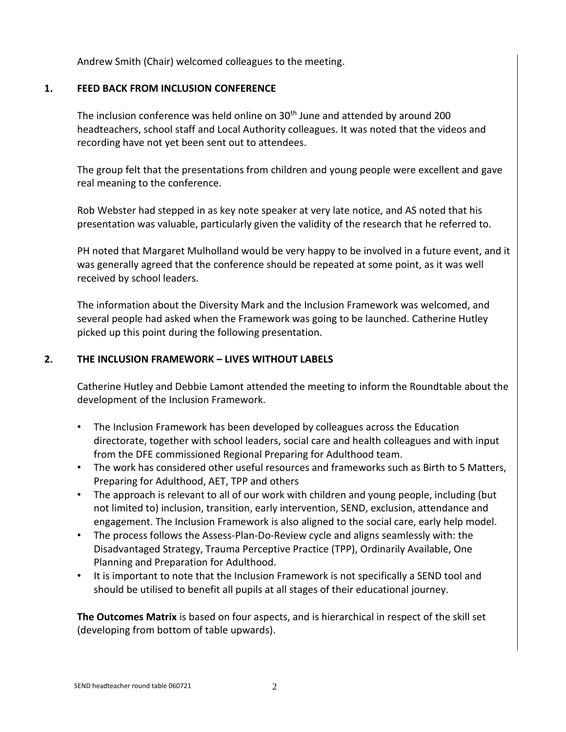Andrew Smith (Chair) welcomed colleagues to the meeting.

## **1. FEED BACK FROM INCLUSION CONFERENCE**

The inclusion conference was held online on 30<sup>th</sup> June and attended by around 200 headteachers, school staff and Local Authority colleagues. It was noted that the videos and recording have not yet been sent out to attendees.

The group felt that the presentations from children and young people were excellent and gave real meaning to the conference.

Rob Webster had stepped in as key note speaker at very late notice, and AS noted that his presentation was valuable, particularly given the validity of the research that he referred to.

PH noted that Margaret Mulholland would be very happy to be involved in a future event, and it was generally agreed that the conference should be repeated at some point, as it was well received by school leaders.

The information about the Diversity Mark and the Inclusion Framework was welcomed, and several people had asked when the Framework was going to be launched. Catherine Hutley picked up this point during the following presentation.

#### **2. THE INCLUSION FRAMEWORK – LIVES WITHOUT LABELS**

Catherine Hutley and Debbie Lamont attended the meeting to inform the Roundtable about the development of the Inclusion Framework.

- The Inclusion Framework has been developed by colleagues across the Education directorate, together with school leaders, social care and health colleagues and with input from the DFE commissioned Regional Preparing for Adulthood team.
- The work has considered other useful resources and frameworks such as Birth to 5 Matters, Preparing for Adulthood, AET, TPP and others
- The approach is relevant to all of our work with children and young people, including (but not limited to) inclusion, transition, early intervention, SEND, exclusion, attendance and engagement. The Inclusion Framework is also aligned to the social care, early help model.
- The process follows the Assess-Plan-Do-Review cycle and aligns seamlessly with: the Disadvantaged Strategy, Trauma Perceptive Practice (TPP), Ordinarily Available, One Planning and Preparation for Adulthood.
- It is important to note that the Inclusion Framework is not specifically a SEND tool and should be utilised to benefit all pupils at all stages of their educational journey.

**The Outcomes Matrix** is based on four aspects, and is hierarchical in respect of the skill set (developing from bottom of table upwards).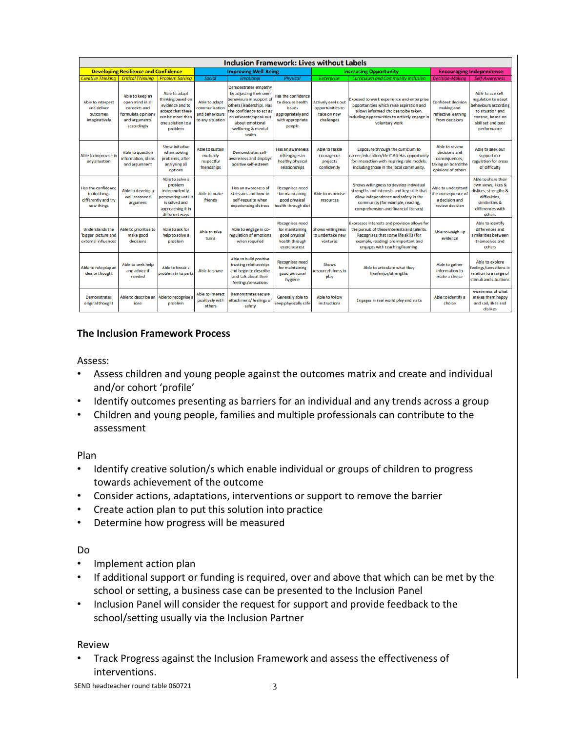| <b>Inclusion Framework: Lives without Labels</b>                        |                                                                                                           |                                                                                                                                |                                                                      |                                                                                                                                                                                                                |                                                                                                                           |                                                                            |                                                                                                                                                                                                                |                                                                                               |                                                                                                                                                |
|-------------------------------------------------------------------------|-----------------------------------------------------------------------------------------------------------|--------------------------------------------------------------------------------------------------------------------------------|----------------------------------------------------------------------|----------------------------------------------------------------------------------------------------------------------------------------------------------------------------------------------------------------|---------------------------------------------------------------------------------------------------------------------------|----------------------------------------------------------------------------|----------------------------------------------------------------------------------------------------------------------------------------------------------------------------------------------------------------|-----------------------------------------------------------------------------------------------|------------------------------------------------------------------------------------------------------------------------------------------------|
| <b>Developing Resilience and Confidence</b>                             |                                                                                                           | <b>Improving Well-Being</b>                                                                                                    |                                                                      |                                                                                                                                                                                                                | <b>Increasing Opportunity</b>                                                                                             |                                                                            | <b>Encouraging Independence</b>                                                                                                                                                                                |                                                                                               |                                                                                                                                                |
| <b>Creative Thinking</b>                                                | <b>Critical Thinking</b>                                                                                  | <b>Problem Solving</b>                                                                                                         | <b>Social</b>                                                        | <b>Emotional</b>                                                                                                                                                                                               | <b>Physical</b>                                                                                                           | <b>Enterprise</b>                                                          | <b>Curriculum and Community Inclusion</b>                                                                                                                                                                      | <b>Decision-Making</b>                                                                        | <b>Self-Awareness</b>                                                                                                                          |
| Able to interpret<br>and deliver<br>outcomes<br><i>imaginatively</i>    | Able to keep an<br>open mind in all<br>contexts and<br>formulate opinions<br>and arguments<br>accordingly | Able to adapt<br>thinking based on<br>evidence and to<br>accept that there<br>can be more than<br>one solution to a<br>problem | Able to adapt<br>communication<br>and behaviours<br>to any situation | Demonstrates empathy<br>by adjusting their own<br>behaviours in support of<br>others (leadership). Has<br>the confidence to act as<br>an advocate/speak out<br>about emotional<br>wellbeing & mental<br>health | <b>Has the confidence</b><br>to discuss health<br><i><b>issues</b></i><br>appropriately and<br>with appropriate<br>people | <b>Actively seeks out</b><br>opportunities to<br>take on new<br>challenges | Exposed to work experience and enterprise<br>opportunities which raise aspiration and<br>allows informed choices to be taken,<br>including opportunities to actively engage in<br>voluntary work               | <b>Confident decision</b><br>making and<br>reflective learning<br>from decisions              | Able to use self-<br>regulation to adapt<br>behaviours according<br>to situation and<br>context, based on<br>skill set and past<br>performance |
| Able to improvise in<br>any situation                                   | Able to question<br>information, ideas<br>and argumnent                                                   | Show initiative<br>when solving<br>problems, after<br>analysing all<br>options                                                 | Able to sustain<br>mutually<br>respectful<br>friendships             | Demonstrates self-<br>awareness and displays<br>positive self-esteem                                                                                                                                           | Has an awareness<br>of/engages in<br>healthy physical<br>relationships                                                    | Able to tackle<br>courageous<br>projects<br>confidently                    | Exposure through the curriclum to<br>career/education/life CIAG.Has opportunity<br>for interaction with inspiring role models,<br>including those in the local community.                                      | Able to review<br>decisions and<br>consequences,<br>taking on board the<br>opinions of others | Able to seek out<br>support/co-<br>regulation for areas<br>of difficulty                                                                       |
| Has the confidence<br>to do things<br>differently and try<br>new things | Able to develop a<br>well-reasoned<br>argument                                                            | Able to solve a<br>problem<br>independently,<br>persevering until it<br>is solved and<br>approaching it in<br>different ways   | Able to make<br>friends                                              | Has an awareness of<br>stressors and how to<br>self-regualte when<br>experiencing distress                                                                                                                     | <b>Recognises need</b><br>for maintaining<br>good physical<br>health through diet                                         | Able to maximise<br>resources                                              | Shows willingness to develop individual<br>strengths and interests and key skills that<br>allow independence and safety in the<br>community (for example, reading,<br>comprehension and financial literacy)    | Able to understand<br>the consequence of<br>a decision and<br>review decision                 | Able to share their<br>own views, likes &<br>dislikes, strengths &<br>difficulties.<br>similarities &<br>differences with<br>others            |
| <b>Understands the</b><br>'bigger' picture and<br>external influences   | Able to prioritise to<br>make good<br>decisions                                                           | Able to ask for<br>help to solve a<br>problem                                                                                  | Able to take<br>turns                                                | Able to engage in co-<br>regulation of emotions<br>when required                                                                                                                                               | <b>Recognises need</b><br>for maintaining<br>good physical<br>health through<br>exercise/rest                             | <b>Shows willingness</b><br>to undertake new<br>ventures                   | Expresses interests and provision allows for<br>the pursuit of these interests and talents.<br>Recognises that some life skills (for<br>example, reading) are important and<br>engages with teaching/learning. | Able to weigh up<br>evidence                                                                  | Able to identify<br>differences and<br>similarities between<br>themselves and<br>others                                                        |
| Able to role play an<br>idea or thought                                 | Able to seek help<br>and advice if<br>hebeen                                                              | Able to break a<br>problem in to parts                                                                                         | Able to share                                                        | Able to build positive<br>trusting relationships<br>and begin to describe<br>and talk about their<br>feelings/sensations                                                                                       | <b>Recognises need</b><br>for maintaining<br>good personal<br>hygiene                                                     | <b>Shows</b><br>resourcefulness in<br>play                                 | Able to articulate what they<br>like/enjoy/strengths                                                                                                                                                           | Able to gather<br>information to<br>make a choice                                             | Able to explore<br>feelings/sensations in<br>relation to a range of<br>stimuli and situations                                                  |
| <b>Demonstrates</b><br>original thought                                 | Able to describe an<br>idea                                                                               | Able to recognise a<br>problem                                                                                                 | Able to interact<br>positively with<br>others                        | <b>Demonstrates secure</b><br>attachment/feelings of<br>safety                                                                                                                                                 | Generally able to<br>keep physically safe                                                                                 | Able to follow<br><b>instructions</b>                                      | Engages in real world play and visits                                                                                                                                                                          | Able to identify a<br>choice                                                                  | <b>Awareness of what</b><br>makes them happy<br>and sad, likes and<br>dislikes                                                                 |

## **The Inclusion Framework Process**

## Assess:

- Assess children and young people against the outcomes matrix and create and individual and/or cohort 'profile'
- Identify outcomes presenting as barriers for an individual and any trends across a group
- Children and young people, families and multiple professionals can contribute to the assessment

Plan

- Identify creative solution/s which enable individual or groups of children to progress towards achievement of the outcome
- Consider actions, adaptations, interventions or support to remove the barrier
- Create action plan to put this solution into practice
- Determine how progress will be measured

## Do

- Implement action plan
- If additional support or funding is required, over and above that which can be met by the school or setting, a business case can be presented to the Inclusion Panel
- Inclusion Panel will consider the request for support and provide feedback to the school/setting usually via the Inclusion Partner

#### Review

• Track Progress against the Inclusion Framework and assess the effectiveness of interventions.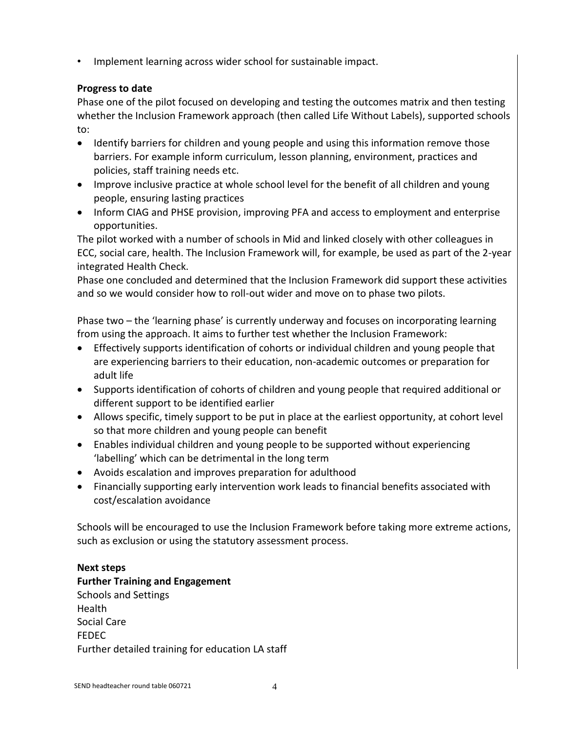• Implement learning across wider school for sustainable impact.

# **Progress to date**

Phase one of the pilot focused on developing and testing the outcomes matrix and then testing whether the Inclusion Framework approach (then called Life Without Labels), supported schools to:

- Identify barriers for children and young people and using this information remove those barriers. For example inform curriculum, lesson planning, environment, practices and policies, staff training needs etc.
- Improve inclusive practice at whole school level for the benefit of all children and young people, ensuring lasting practices
- Inform CIAG and PHSE provision, improving PFA and access to employment and enterprise opportunities.

The pilot worked with a number of schools in Mid and linked closely with other colleagues in ECC, social care, health. The Inclusion Framework will, for example, be used as part of the 2-year integrated Health Check.

Phase one concluded and determined that the Inclusion Framework did support these activities and so we would consider how to roll-out wider and move on to phase two pilots.

Phase two – the 'learning phase' is currently underway and focuses on incorporating learning from using the approach. It aims to further test whether the Inclusion Framework:

- Effectively supports identification of cohorts or individual children and young people that are experiencing barriers to their education, non-academic outcomes or preparation for adult life
- Supports identification of cohorts of children and young people that required additional or different support to be identified earlier
- Allows specific, timely support to be put in place at the earliest opportunity, at cohort level so that more children and young people can benefit
- Enables individual children and young people to be supported without experiencing 'labelling' which can be detrimental in the long term
- Avoids escalation and improves preparation for adulthood
- Financially supporting early intervention work leads to financial benefits associated with cost/escalation avoidance

Schools will be encouraged to use the Inclusion Framework before taking more extreme actions, such as exclusion or using the statutory assessment process.

## **Next steps**

**Further Training and Engagement** Schools and Settings Health Social Care FEDEC Further detailed training for education LA staff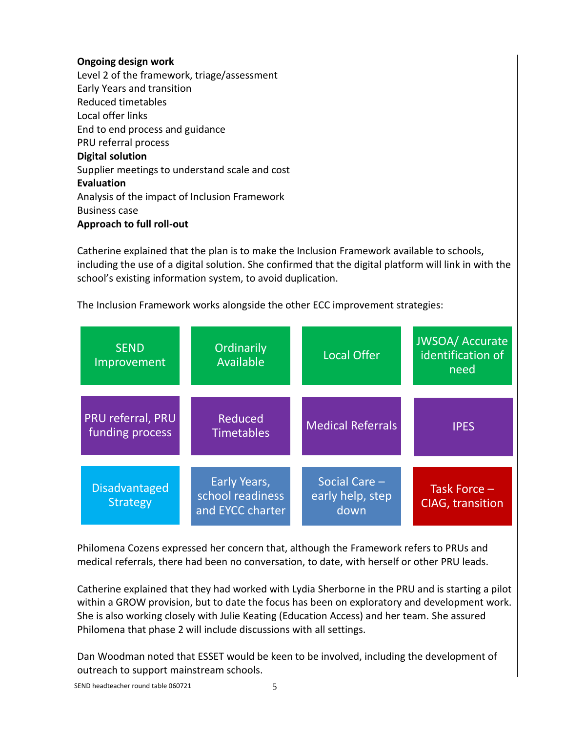### **Ongoing design work**

Level 2 of the framework, triage/assessment Early Years and transition Reduced timetables Local offer links End to end process and guidance PRU referral process **Digital solution** Supplier meetings to understand scale and cost **Evaluation**  Analysis of the impact of Inclusion Framework Business case **Approach to full roll-out**

Catherine explained that the plan is to make the Inclusion Framework available to schools, including the use of a digital solution. She confirmed that the digital platform will link in with the school's existing information system, to avoid duplication.

The Inclusion Framework works alongside the other ECC improvement strategies:

| <b>SEND</b><br>Improvement              | Ordinarily<br>Available                              | <b>Local Offer</b>                        | <b>JWSOA/Accurate</b><br>identification of<br>need |  |
|-----------------------------------------|------------------------------------------------------|-------------------------------------------|----------------------------------------------------|--|
| PRU referral, PRU<br>funding process    | Reduced<br><b>Timetables</b>                         | <b>Medical Referrals</b>                  | <b>IPES</b>                                        |  |
| <b>Disadvantaged</b><br><b>Strategy</b> | Early Years,<br>school readiness<br>and EYCC charter | Social Care -<br>early help, step<br>down | Task Force -<br><b>CIAG</b> , transition           |  |

Philomena Cozens expressed her concern that, although the Framework refers to PRUs and medical referrals, there had been no conversation, to date, with herself or other PRU leads.

Catherine explained that they had worked with Lydia Sherborne in the PRU and is starting a pilot within a GROW provision, but to date the focus has been on exploratory and development work. She is also working closely with Julie Keating (Education Access) and her team. She assured Philomena that phase 2 will include discussions with all settings.

Dan Woodman noted that ESSET would be keen to be involved, including the development of outreach to support mainstream schools.